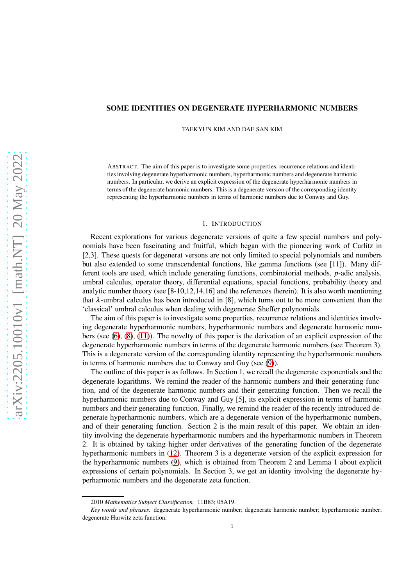### SOME IDENTITIES ON DEGENERATE HYPERHARMONIC NUMBERS

TAEKYUN KIM AND DAE SAN KIM

ABSTRACT. The aim of this paper is to investigate some properties, recurrence relations and identities involving degenerate hyperharmonic numbers, hyperharmonic numbers and degenerate harmonic numbers. In particular, we derive an explicit expression of the degenerate hyperharmonic numbers in terms of the degenerate harmonic numbers. This is a degenerate version of the corresponding identity representing the hyperharmonic numbers in terms of harmonic numbers due to Conway and Guy.

### 1. INTRODUCTION

Recent explorations for various degenerate versions of quite a few special numbers and polynomials have been fascinating and fruitful, which began with the pioneering work of Carlitz in [2,3]. These quests for degenerat versons are not only limited to special polynomials and numbers but also extended to some transcendental functions, like gamma functions (see [11]). Many different tools are used, which include generating functions, combinatorial methods, *p*-adic analysis, umbral calculus, operator theory, differential equations, special functions, probability theory and analytic number theory (see [8-10,12,14,16] and the references therein). It is also worth mentioning that  $\lambda$ -umbral calculus has been introduced in [8], which turns out to be more convenient than the 'classical' umbral calculus when dealing with degenerate Sheffer polynomials.

The aim of this paper is to investigate some properties, recurrence relations and identities involving degenerate hyperharmonic numbers, hyperharmonic numbers and degenerate harmonic numbers (see [\(6\)](#page-1-0), [\(8\)](#page-1-1), [\(11\)](#page-1-2)). The novelty of this paper is the derivation of an explicit expression of the degenerate hyperharmonic numbers in terms of the degenerate harmonic numbers (see Theorem 3). This is a degenerate version of the corresponding identity representing the hyperharmonic numbers in terms of harmonic numbers due to Conway and Guy (see [\(9\)](#page-1-3)).

The outline of this paper is as follows. In Section 1, we recall the degenerate exponentials and the degenerate logarithms. We remind the reader of the harmonic numbers and their generating function, and of the degenerate harmonic numbers and their generating function. Then we recall the hyperharmonic numbers due to Conway and Guy [5], its explicit expression in terms of harmonic numbers and their generating function. Finally, we remind the reader of the recently introduced degenerate hyperharmonic numbers, which are a degenerate version of the hyperharmonic numbers, and of their generating function. Section 2 is the main result of this paper. We obtain an identity involving the degenerate hyperharmonic numbers and the hyperharmonic numbers in Theorem 2. It is obtained by taking higher order derivatives of the generating function of the degenerate hyperharmonic numbers in [\(12\)](#page-2-0). Theorem 3 is a degenerate version of the explicit expression for the hyperharmonic numbers [\(9\)](#page-1-3), which is obtained from Theorem 2 and Lemma 1 about explicit expressions of certain polynomials. In Section 3, we get an identity involving the degenerate hyperharmonic numbers and the degenerate zeta function.

<sup>2010</sup> *Mathematics Subject Classification.* 11B83; 05A19.

*Key words and phrases.* degenerate hyperharmonic number; degenerate harmonic number; hyperharmonic number; degenerate Hurwitz zeta function.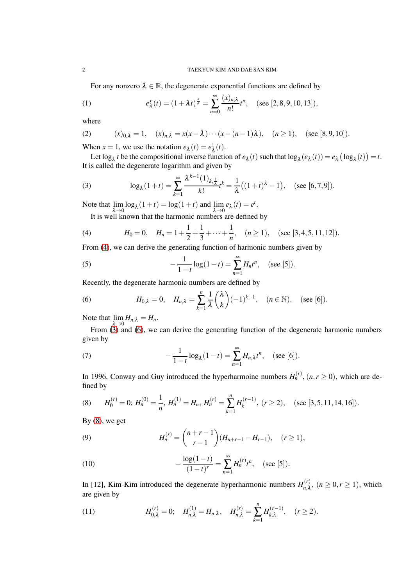#### 2 TAEKYUN KIM AND DAE SAN KIM

For any nonzero  $\lambda \in \mathbb{R}$ , the degenerate exponential functions are defined by

(1) 
$$
e_{\lambda}^{x}(t) = (1 + \lambda t)^{\frac{x}{\lambda}} = \sum_{n=0}^{\infty} \frac{(x)_{n,\lambda}}{n!} t^{n}, \quad (\text{see } [2,8,9,10,13]),
$$

where

(2) 
$$
(x)_{0,\lambda} = 1
$$
,  $(x)_{n,\lambda} = x(x - \lambda) \cdots (x - (n-1)\lambda)$ ,  $(n \ge 1)$ , (see [8,9,10]).

When  $x = 1$ , we use the notation  $e_{\lambda}(t) = e_{\lambda}^{1}(t)$ .

Let  $\log_{\lambda} t$  be the compositional inverse function of  $e_{\lambda}(t)$  such that  $\log_{\lambda}(e_{\lambda}(t)) = e_{\lambda} (\log_{\lambda}(t)) = t$ . It is called the degenerate logarithm and given by

<span id="page-1-5"></span>(3) 
$$
\log_{\lambda}(1+t) = \sum_{k=1}^{\infty} \frac{\lambda^{k-1}(1)_{k,\frac{1}{\lambda}}}{k!} t^k = \frac{1}{\lambda} \big( (1+t)^{\lambda} - 1 \big), \quad (\text{see } [6,7,9]).
$$

Note that  $\lim_{\lambda \to 0} \log_{\lambda}(1+t) = \log(1+t)$  and  $\lim_{\lambda \to 0} e_{\lambda}(t) = e^{t}$ .

<span id="page-1-4"></span>It is well known that the harmonic numbers are defined by

(4) 
$$
H_0 = 0
$$
,  $H_n = 1 + \frac{1}{2} + \frac{1}{3} + \dots + \frac{1}{n}$ ,  $(n \ge 1)$ , (see [3, 4, 5, 11, 12]).

From [\(4\)](#page-1-4), we can derive the generating function of harmonic numbers given by

(5) 
$$
-\frac{1}{1-t}\log(1-t) = \sum_{n=1}^{\infty} H_n t^n, \quad (\text{see } [5]).
$$

Recently, the degenerate harmonic numbers are defined by

<span id="page-1-0"></span>(6) 
$$
H_{0,\lambda}=0, \quad H_{n,\lambda}=\sum_{k=1}^n\frac{1}{\lambda}\binom{\lambda}{k}(-1)^{k-1}, \quad (n\in\mathbb{N}), \quad (\text{see }[6]).
$$

Note that  $\lim_{n \to \infty} H_{n,\lambda} = H_n$ .

From [\(3\)](#page-1-5) and [\(6\)](#page-1-0), we can derive the generating function of the degenerate harmonic numbers given by

(7) 
$$
-\frac{1}{1-t}\log_{\lambda}(1-t) = \sum_{n=1}^{\infty} H_{n,\lambda}t^{n}, \quad (\text{see } [6]).
$$

In 1996, Conway and Guy introduced the hyperharmoinc numbers  $H_n^{(r)}$ ,  $(n, r \ge 0)$ , which are defined by

<span id="page-1-1"></span>(8) 
$$
H_0^{(r)} = 0
$$
;  $H_n^{(0)} = \frac{1}{n}$ ,  $H_n^{(1)} = H_n$ ,  $H_n^{(r)} = \sum_{k=1}^n H_k^{(r-1)}$ ,  $(r \ge 2)$ , (see [3,5,11,14,16]).

By  $(8)$ , we get

<span id="page-1-3"></span>(9) 
$$
H_n^{(r)} = {n+r-1 \choose r-1} (H_{n+r-1} - H_{r-1}), \quad (r \ge 1),
$$

(10) 
$$
-\frac{\log(1-t)}{(1-t)^r} = \sum_{n=1}^{\infty} H_n^{(r)} t^n, \quad (\text{see } [5]).
$$

In [12], Kim-Kim introduced the degenerate hyperharmonic numbers  $H_{n\lambda}^{(r)}$  $n, \lambda$ ,  $(n \geq 0, r \geq 1)$ , which are given by

<span id="page-1-2"></span>(11) 
$$
H_{0,\lambda}^{(r)} = 0; \quad H_{n,\lambda}^{(1)} = H_{n,\lambda}, \quad H_{n,\lambda}^{(r)} = \sum_{k=1}^{n} H_{k,\lambda}^{(r-1)}, \quad (r \ge 2).
$$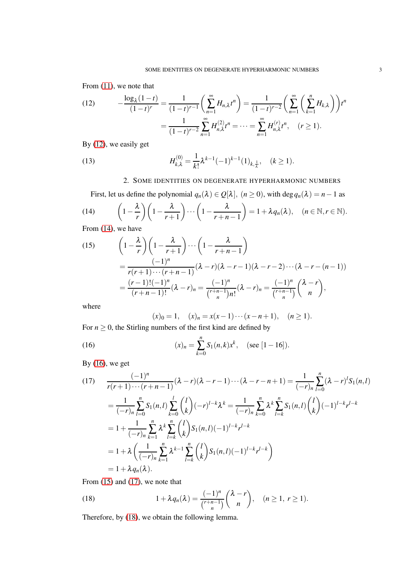From  $(11)$ , we note that

<span id="page-2-0"></span>(12) 
$$
-\frac{\log_{\lambda}(1-t)}{(1-t)^{r}} = \frac{1}{(1-t)^{r-1}} \left( \sum_{n=1}^{\infty} H_{n,\lambda} t^{n} \right) = \frac{1}{(1-t)^{r-2}} \left( \sum_{n=1}^{\infty} \left( \sum_{k=1}^{n} H_{k,\lambda} \right) \right) t^{n}
$$

$$
= \frac{1}{(1-t)^{r-2}} \sum_{n=1}^{\infty} H_{n,\lambda}^{(2)} t^{n} = \dots = \sum_{n=1}^{\infty} H_{n,\lambda}^{(r)} t^{n}, \quad (r \ge 1).
$$

By [\(12\)](#page-2-0), we easily get

(13) 
$$
H_{k,\lambda}^{(0)} = \frac{1}{k!} \lambda^{k-1} (-1)^{k-1} (1)_{k,\frac{1}{\lambda}}, \quad (k \ge 1).
$$

<span id="page-2-1"></span>2. SOME IDENTITIES ON DEGENERATE HYPERHARMONIC NUMBERS

First, let us define the polynomial 
$$
q_n(\lambda) \in Q[\lambda]
$$
,  $(n \ge 0)$ , with  $\deg q_n(\lambda) = n - 1$  as  
(14) 
$$
\left(1 - \frac{\lambda}{r}\right)\left(1 - \frac{\lambda}{r+1}\right) \cdots \left(1 - \frac{\lambda}{r+n-1}\right) = 1 + \lambda q_n(\lambda), \quad (n \in \mathbb{N}, r \in \mathbb{N}).
$$

From  $(14)$ , we have

<span id="page-2-3"></span>(15) 
$$
\left(1-\frac{\lambda}{r}\right)\left(1-\frac{\lambda}{r+1}\right)\cdots\left(1-\frac{\lambda}{r+n-1}\right)
$$

$$
=\frac{(-1)^n}{r(r+1)\cdots(r+n-1)}(\lambda-r)(\lambda-r-1)(\lambda-r-2)\cdots(\lambda-r-(n-1))
$$

$$
=\frac{(r-1)!(-1)^n}{(r+n-1)!}(\lambda-r)_n=\frac{(-1)^n}{\binom{r+n-1}{n}}(\lambda-r)_n=\frac{(-1)^n}{\binom{r+n-1}{n}}\binom{\lambda-r}{n},
$$

where

<span id="page-2-2"></span>
$$
(x)_0 = 1
$$
,  $(x)_n = x(x-1)\cdots(x-n+1)$ ,  $(n \ge 1)$ .

For  $n \geq 0$ , the Stirling numbers of the first kind are defined by

(16) 
$$
(x)_n = \sum_{k=0}^n S_1(n,k)x^k, \quad (\text{see } [1-16]).
$$

By  $(16)$ , we get

<span id="page-2-4"></span>
$$
(17) \quad \frac{(-1)^n}{r(r+1)\cdots(r+n-1)}(\lambda-r)(\lambda-r-1)\cdots(\lambda-r-n+1) = \frac{1}{(-r)_n}\sum_{l=0}^n(\lambda-r)^lS_1(n,l)
$$
  
\n
$$
= \frac{1}{(-r)_n}\sum_{l=0}^nS_1(n,l)\sum_{k=0}^l\binom{l}{k}(-r)^{l-k}\lambda^k = \frac{1}{(-r)_n}\sum_{k=0}^n\lambda^k\sum_{l=k}^nS_1(n,l)\binom{l}{k}(-1)^{l-k}r^{l-k}
$$
  
\n
$$
= 1 + \frac{1}{(-r)_n}\sum_{k=1}^n\lambda^k\sum_{l=k}^n\binom{l}{k}S_1(n,l)(-1)^{l-k}r^{l-k}
$$
  
\n
$$
= 1 + \lambda\left(\frac{1}{(-r)_n}\sum_{k=1}^n\lambda^{k-1}\sum_{l=k}^n\binom{l}{k}S_1(n,l)(-1)^{l-k}r^{l-k}\right)
$$
  
\n
$$
= 1 + \lambda q_n(\lambda).
$$

From [\(15\)](#page-2-3) and [\(17\)](#page-2-4), we note that

<span id="page-2-5"></span>(18) 
$$
1 + \lambda q_n(\lambda) = \frac{(-1)^n}{\binom{r+n-1}{n}} \binom{\lambda - r}{n}, \quad (n \ge 1, r \ge 1).
$$

Therefore, by [\(18\)](#page-2-5), we obtain the following lemma.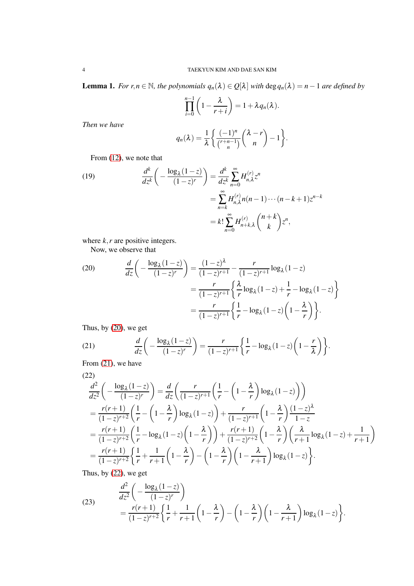Lemma 1. *For r*,*n* ∈ N*, the polynomials qn*(λ) ∈ *Q*[λ] *with* deg*qn*(λ) = *n*−1 *are defined by*

$$
\prod_{i=0}^{n-1} \left(1 - \frac{\lambda}{r+i}\right) = 1 + \lambda q_n(\lambda).
$$

*Then we have*

$$
q_n(\lambda) = \frac{1}{\lambda} \left\{ \frac{(-1)^n}{\binom{r+n-1}{n}} \binom{\lambda-r}{n} - 1 \right\}.
$$

From  $(12)$ , we note that

<span id="page-3-4"></span>(19) 
$$
\frac{d^k}{dz^k} \left( -\frac{\log_{\lambda} (1-z)}{(1-z)^r} \right) = \frac{d^k}{dz^k} \sum_{n=0}^{\infty} H_{n,\lambda}^{(r)} z^n \n= \sum_{n=k}^{\infty} H_{n,\lambda}^{(r)} n(n-1) \cdots (n-k+1) z^{n-k} \n= k! \sum_{n=0}^{\infty} H_{n+k,\lambda}^{(r)} {n+k \choose k} z^n,
$$

where *k*, *r* are positive integers.

Now, we observe that

<span id="page-3-0"></span>(20) 
$$
\frac{d}{dz} \left( -\frac{\log_{\lambda} (1-z)}{(1-z)^{r}} \right) = \frac{(1-z)^{\lambda}}{(1-z)^{r+1}} - \frac{r}{(1-z)^{r+1}} \log_{\lambda} (1-z)
$$

$$
= \frac{r}{(1-z)^{r+1}} \left\{ \frac{\lambda}{r} \log_{\lambda} (1-z) + \frac{1}{r} - \log_{\lambda} (1-z) \right\}
$$

$$
= \frac{r}{(1-z)^{r+1}} \left\{ \frac{1}{r} - \log_{\lambda} (1-z) \left( 1 - \frac{\lambda}{r} \right) \right\}.
$$

Thus, by [\(20\)](#page-3-0), we get

<span id="page-3-1"></span>(21) 
$$
\frac{d}{dz}\left(-\frac{\log_{\lambda}(1-z)}{(1-z)^r}\right) = \frac{r}{(1-z)^{r+1}}\left\{\frac{1}{r}-\log_{\lambda}(1-z)\left(1-\frac{r}{\lambda}\right)\right\}.
$$

From  $(21)$ , we have

<span id="page-3-2"></span>
$$
(22)
$$

$$
\frac{d^2}{dz^2} \left( -\frac{\log_{\lambda}(1-z)}{(1-z)^r} \right) = \frac{d}{dz} \left( \frac{r}{(1-z)^{r+1}} \left( \frac{1}{r} - \left( 1 - \frac{\lambda}{r} \right) \log_{\lambda}(1-z) \right) \right)
$$
\n
$$
= \frac{r(r+1)}{(1-z)^{r+2}} \left( \frac{1}{r} - \left( 1 - \frac{\lambda}{r} \right) \log_{\lambda}(1-z) \right) + \frac{r}{(1-z)^{r+1}} \left( 1 - \frac{\lambda}{r} \right) \frac{(1-z)^{\lambda}}{1-z}
$$
\n
$$
= \frac{r(r+1)}{(1-z)^{r+2}} \left( \frac{1}{r} - \log_{\lambda}(1-z) \left( 1 - \frac{\lambda}{r} \right) \right) + \frac{r(r+1)}{(1-z)^{r+2}} \left( 1 - \frac{\lambda}{r} \right) \left( \frac{\lambda}{r+1} \log_{\lambda}(1-z) + \frac{1}{r+1} \right)
$$
\n
$$
= \frac{r(r+1)}{(1-z)^{r+2}} \left\{ \frac{1}{r} + \frac{1}{r+1} \left( 1 - \frac{\lambda}{r} \right) - \left( 1 - \frac{\lambda}{r} \right) \left( 1 - \frac{\lambda}{r+1} \right) \log_{\lambda}(1-z) \right\}.
$$

Thus, by [\(22\)](#page-3-2), we get

<span id="page-3-3"></span>(23) 
$$
\frac{d^2}{dz^2} \left( -\frac{\log_{\lambda}(1-z)}{(1-z)^r} \right)
$$

$$
= \frac{r(r+1)}{(1-z)^{r+2}} \left\{ \frac{1}{r} + \frac{1}{r+1} \left( 1 - \frac{\lambda}{r} \right) - \left( 1 - \frac{\lambda}{r} \right) \left( 1 - \frac{\lambda}{r+1} \right) \log_{\lambda}(1-z) \right\}.
$$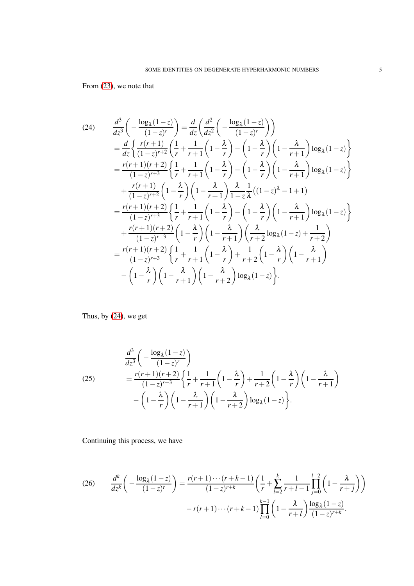# From [\(23\)](#page-3-3), we note that

<span id="page-4-0"></span>
$$
(24) \frac{d^3}{dz^3} \left( -\frac{\log_2(1-z)}{(1-z)^r} \right) = \frac{d}{dz} \left( \frac{d^2}{dz^2} \left( -\frac{\log_2(1-z)}{(1-z)^r} \right) \right)
$$
  
\n
$$
= \frac{d}{dz} \left\{ \frac{r(r+1)}{(1-z)^{r+2}} \left( \frac{1}{r} + \frac{1}{r+1} \left( 1 - \frac{\lambda}{r} \right) - \left( 1 - \frac{\lambda}{r} \right) \left( 1 - \frac{\lambda}{r+1} \right) \log_{\lambda}(1-z) \right\}
$$
  
\n
$$
= \frac{r(r+1)(r+2)}{(1-z)^{r+3}} \left\{ \frac{1}{r} + \frac{1}{r+1} \left( 1 - \frac{\lambda}{r} \right) - \left( 1 - \frac{\lambda}{r} \right) \left( 1 - \frac{\lambda}{r+1} \right) \log_{\lambda}(1-z) \right\}
$$
  
\n
$$
+ \frac{r(r+1)}{(1-z)^{r+2}} \left( 1 - \frac{\lambda}{r} \right) \left( 1 - \frac{\lambda}{r+1} \right) \frac{\lambda}{1-z} \frac{1}{\lambda} \left( (1-z)^{\lambda} - 1 + 1 \right)
$$
  
\n
$$
= \frac{r(r+1)(r+2)}{(1-z)^{r+3}} \left\{ \frac{1}{r} + \frac{1}{r+1} \left( 1 - \frac{\lambda}{r} \right) - \left( 1 - \frac{\lambda}{r} \right) \left( 1 - \frac{\lambda}{r+1} \right) \log_{\lambda}(1-z) \right\}
$$
  
\n
$$
+ \frac{r(r+1)(r+2)}{(1-z)^{r+3}} \left( 1 - \frac{\lambda}{r} \right) \left( 1 - \frac{\lambda}{r+1} \right) \left( \frac{\lambda}{r+2} \log_{\lambda}(1-z) + \frac{1}{r+2} \right)
$$
  
\n
$$
= \frac{r(r+1)(r+2)}{(1-z)^{r+3}} \left\{ \frac{1}{r} + \frac{1}{r+1} \left( 1 - \frac{\lambda}{r} \right) + \frac{1}{r+2} \left( 1 - \frac{\lambda}{r} \right) \left( 1 - \frac{\lambda}{r+1} \right) \
$$

Thus, by [\(24\)](#page-4-0), we get

(25) 
$$
\frac{d^3}{dz^3} \left( -\frac{\log_{\lambda}(1-z)}{(1-z)^r} \right)
$$

$$
= \frac{r(r+1)(r+2)}{(1-z)^{r+3}} \left\{ \frac{1}{r} + \frac{1}{r+1} \left( 1 - \frac{\lambda}{r} \right) + \frac{1}{r+2} \left( 1 - \frac{\lambda}{r} \right) \left( 1 - \frac{\lambda}{r+1} \right) - \left( 1 - \frac{\lambda}{r} \right) \left( 1 - \frac{\lambda}{r+1} \right) \left( 1 - \frac{\lambda}{r+2} \right) \log_{\lambda}(1-z) \right\}.
$$

Continuing this process, we have

<span id="page-4-1"></span>(26) 
$$
\frac{d^k}{dz^k} \left( -\frac{\log_{\lambda}(1-z)}{(1-z)^r} \right) = \frac{r(r+1)\cdots(r+k-1)}{(1-z)^{r+k}} \left( \frac{1}{r} + \sum_{l=2}^k \frac{1}{r+l-1} \prod_{j=0}^{l-2} \left( 1 - \frac{\lambda}{r+j} \right) \right) - r(r+1)\cdots(r+k-1) \prod_{l=0}^{k-1} \left( 1 - \frac{\lambda}{r+l} \right) \frac{\log_{\lambda}(1-z)}{(1-z)^{r+k}}.
$$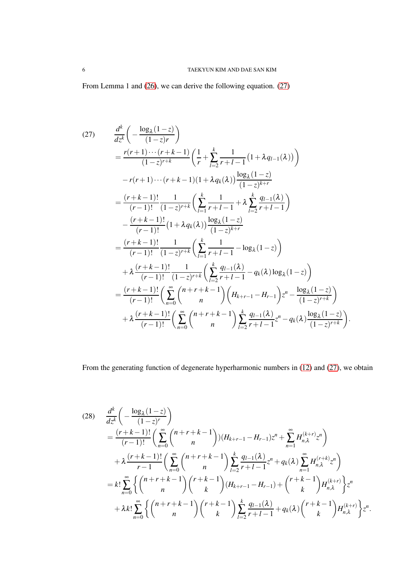From Lemma 1 and [\(26\)](#page-4-1), we can derive the following equation. [\(27\)](#page-5-0)

<span id="page-5-0"></span>
$$
(27) \frac{d^{k}}{dz^{k}}\left(-\frac{\log_{\lambda}(1-z)}{(1-z)r}\right)
$$
\n
$$
= \frac{r(r+1)\cdots(r+k-1)}{(1-z)^{r+k}}\left(\frac{1}{r}+\sum_{l=2}^{k}\frac{1}{r+l-1}(1+\lambda q_{l-1}(\lambda))\right)
$$
\n
$$
-r(r+1)\cdots(r+k-1)(1+\lambda q_{k}(\lambda))\frac{\log_{\lambda}(1-z)}{(1-z)^{k+r}}
$$
\n
$$
= \frac{(r+k-1)!}{(r-1)!}\frac{1}{(1-z)^{r+k}}\left(\sum_{l=1}^{k}\frac{1}{r+l-1}+\lambda\sum_{l=2}^{k}\frac{q_{l-1}(\lambda)}{r+l-1}\right)
$$
\n
$$
-\frac{(r+k-1)!}{(r-1)!}(1+\lambda q_{k}(\lambda))\frac{\log_{\lambda}(1-z)}{(1-z)^{k+r}}
$$
\n
$$
= \frac{(r+k-1)!}{(r-1)!}\frac{1}{(1-z)^{r+k}}\left(\sum_{l=1}^{k}\frac{1}{r+l-1}-\log_{\lambda}(1-z)\right)
$$
\n
$$
+\lambda\frac{(r+k-1)!}{(r-1)!}\left(\sum_{l=0}^{\infty}\binom{n+r+k-1}{n}\left(H_{k+r-1}-H_{r-1}\right)z^{n}-\frac{\log_{\lambda}(1-z)}{(1-z)^{r+k}}\right)
$$
\n
$$
+\lambda\frac{(r+k-1)!}{(r-1)!}\left(\sum_{n=0}^{\infty}\binom{n+r+k-1}{n}\left(H_{k+r-1}-H_{r-1}\right)z^{n}-\frac{\log_{\lambda}(1-z)}{(1-z)^{r+k}}\right)
$$
\n
$$
+\lambda\frac{(r+k-1)!}{(r-1)!}\left(\sum_{n=0}^{\infty}\binom{n+r+k-1}{n}\sum_{l=2}^{k}\frac{q_{l-1}(\lambda)}{r+l-1}z^{n}-q_{k}(\lambda)\frac{\log_{\lambda}(1-z)}{(1-z)^{r+k}}\right).
$$

From the generating function of degenerate hyperharmonic numbers in [\(12\)](#page-2-0) and [\(27\)](#page-5-0), we obtain

<span id="page-5-1"></span>
$$
(28) \frac{d^{k}}{dz^{k}}\left(-\frac{\log_{\lambda}(1-z)}{(1-z)^{r}}\right)
$$
  
\n
$$
= \frac{(r+k-1)!}{(r-1)!}\left(\sum_{n=0}^{\infty}\binom{n+r+k-1}{n}\right)(H_{k+r-1}-H_{r-1})z^{n}+\sum_{n=1}^{\infty}H_{n,\lambda}^{(k+r)}z^{n}\right)
$$
  
\n
$$
+ \lambda \frac{(r+k-1)!}{r-1}\left(\sum_{n=0}^{\infty}\binom{n+r+k-1}{n}\sum_{l=2}^{k}\frac{q_{l-1}(\lambda)}{r+l-1}z^{n}+q_{k}(\lambda)\sum_{n=1}^{\infty}H_{n,\lambda}^{(r+k)}z^{n}\right)
$$
  
\n
$$
= k!\sum_{n=0}^{\infty}\left\{\binom{n+r+k-1}{n}\binom{r+k-1}{k}(H_{k+r-1}-H_{r-1})+\binom{r+k-1}{k}H_{n,\lambda}^{(k+r)}\right\}z^{n}
$$
  
\n
$$
+ \lambda k!\sum_{n=0}^{\infty}\left\{\binom{n+r+k-1}{n}\binom{r+k-1}{k}\sum_{l=2}^{k}\frac{q_{l-1}(\lambda)}{r+l-1}+q_{k}(\lambda)\binom{r+k-1}{k}H_{n,\lambda}^{(k+r)}\right\}z^{n}.
$$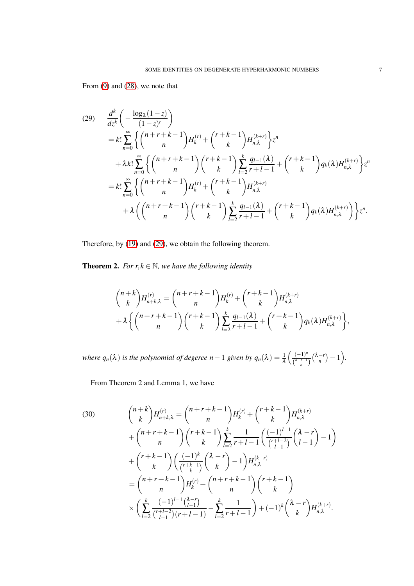From [\(9\)](#page-1-3) and [\(28\)](#page-5-1), we note that

<span id="page-6-0"></span>
$$
(29) \frac{d^{k}}{dz^{k}}\left(-\frac{\log_{\lambda}(1-z)}{(1-z)^{r}}\right)
$$
  
\n
$$
= k!\sum_{n=0}^{\infty}\left\{\binom{n+r+k-1}{n}H_{k}^{(r)}+\binom{r+k-1}{k}H_{n,\lambda}^{(k+r)}\right\}z^{n}
$$
  
\n
$$
+ \lambda k!\sum_{n=0}^{\infty}\left\{\binom{n+r+k-1}{n}\binom{r+k-1}{k}\sum_{l=2}^{k}\frac{q_{l-1}(\lambda)}{r+l-1}+\binom{r+k-1}{k}q_{k}(\lambda)H_{n,\lambda}^{(k+r)}\right\}z^{n}
$$
  
\n
$$
= k!\sum_{n=0}^{\infty}\left\{\binom{n+r+k-1}{n}H_{k}^{(r)}+\binom{r+k-1}{k}H_{n,\lambda}^{(k+r)} + \lambda\left(\binom{n+r+k-1}{n}\binom{r+k-1}{k}\right) \sum_{l=2}^{k}\frac{q_{l-1}(\lambda)}{r+l-1}+\binom{r+k-1}{k}q_{k}(\lambda)H_{n,\lambda}^{(k+r)}\right\}z^{n}.
$$

Therefore, by [\(19\)](#page-3-4) and [\(29\)](#page-6-0), we obtain the following theorem.

**Theorem 2.** *For r*, $k \in \mathbb{N}$ *, we have the following identity* 

$$
\binom{n+k}{k} H_{n+k,\lambda}^{(r)} = \binom{n+r+k-1}{n} H_k^{(r)} + \binom{r+k-1}{k} H_{n,\lambda}^{(k+r)}
$$
  
+  $\lambda \left\{ \binom{n+r+k-1}{n} \binom{r+k-1}{k} \sum_{l=2}^k \frac{q_{l-1}(\lambda)}{r+l-1} + \binom{r+k-1}{k} q_k(\lambda) H_{n,\lambda}^{(k+r)} \right\},$ 

*where*  $q_n(\lambda)$  *is the polynomial of degeree*  $n-1$  *given by*  $q_n(\lambda) = \frac{1}{\lambda} \left( \frac{(-1)^n}{\binom{n+r-1}{n+r}} \right)$  $\frac{(-1)^n}{\binom{n+r-1}{n}}\binom{\lambda-r}{n}$  $\binom{-r}{n} - 1.$ 

From Theorem 2 and Lemma 1, we have

<span id="page-6-1"></span>(30) 
$$
{n+k \choose k} H_{n+k,\lambda}^{(r)} = {n+r+k-1 \choose n} H_k^{(r)} + {r+k-1 \choose k} H_{n,\lambda}^{(k+r)} + {n+r+k-1 \choose n} {r+k-1 \choose k} \sum_{l=2}^k \frac{1}{r+l-1} \left( \frac{(-1)^{l-1}}{\binom{r+l-2}{l-1}} {\lambda-r \choose l-1} - 1 \right) + {r+k-1 \choose k} \left( \frac{(-1)^k}{\binom{r+k-1}{k}} {\lambda-r \choose k} - 1 \right) H_{n,\lambda}^{(k+r)} = {n+r+k-1 \choose n} H_k^{(r)} + {n+r+k-1 \choose n} {r+k-1 \choose k} + {r+k-1 \choose k} H_{n,\lambda}^{(k+r)} + {r+k-1 \choose k} H_{n,\lambda}^{(k+r)}.
$$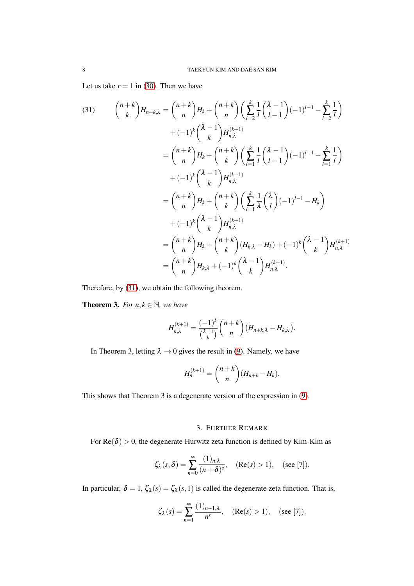Let us take  $r = 1$  in [\(30\)](#page-6-1). Then we have

<span id="page-7-0"></span>(31) 
$$
{\binom{n+k}{k}} H_{n+k,\lambda} = {\binom{n+k}{n}} H_k + {\binom{n+k}{n}} \left( \sum_{l=2}^k \frac{1}{l} {\binom{\lambda-1}{l-1}} (-1)^{l-1} - \sum_{l=2}^k \frac{1}{l} \right) + (-1)^k {\binom{\lambda-1}{k}} H_{n,\lambda}^{(k+1)}
$$

$$
= {\binom{n+k}{n}} H_k + {\binom{n+k}{k}} \left( \sum_{l=1}^k \frac{1}{l} {\binom{\lambda-1}{l-1}} (-1)^{l-1} - \sum_{l=1}^k \frac{1}{l} \right) + (-1)^k {\binom{\lambda-1}{k}} H_{n,\lambda}^{(k+1)}
$$

$$
= {\binom{n+k}{n}} H_k + {\binom{n+k}{k}} \left( \sum_{l=1}^k \frac{1}{\lambda} {\binom{\lambda}{l}} (-1)^{l-1} - H_k \right) + (-1)^k {\binom{\lambda-1}{k}} H_{n,\lambda}^{(k+1)}
$$

$$
= {\binom{n+k}{n}} H_k + {\binom{n+k}{k}} (H_{k,\lambda} - H_k) + (-1)^k {\binom{\lambda-1}{k}} H_{n,\lambda}^{(k+1)}
$$

$$
= {\binom{n+k}{n}} H_{k,\lambda} + (-1)^k {\binom{\lambda-1}{k}} H_{n,\lambda}^{(k+1)}.
$$

Therefore, by [\(31\)](#page-7-0), we obtain the following theorem.

**Theorem 3.** *For*  $n, k \in \mathbb{N}$ *, we have* 

$$
H_{n,\lambda}^{(k+1)} = \frac{(-1)^k}{\binom{\lambda-1}{k}} \binom{n+k}{n} \left(H_{n+k,\lambda} - H_{k,\lambda}\right).
$$

In Theorem 3, letting  $\lambda \rightarrow 0$  gives the result in [\(9\)](#page-1-3). Namely, we have

$$
H_n^{(k+1)} = \binom{n+k}{n} (H_{n+k} - H_k).
$$

This shows that Theorem 3 is a degenerate version of the expression in [\(9\)](#page-1-3).

# 3. FURTHER REMARK

For  $Re(\delta) > 0$ , the degenerate Hurwitz zeta function is defined by Kim-Kim as

$$
\zeta_{\lambda}(s,\delta) = \sum_{n=0}^{\infty} \frac{(1)_{n,\lambda}}{(n+\delta)^s}, \quad (\text{Re}(s) > 1), \quad (\text{see } [7]).
$$

In particular,  $\delta = 1$ ,  $\zeta_{\lambda}(s) = \zeta_{\lambda}(s,1)$  is called the degenerate zeta function. That is,

$$
\zeta_{\lambda}(s) = \sum_{n=1}^{\infty} \frac{(1)_{n-1,\lambda}}{n^s}, \quad (\text{Re}(s) > 1), \quad (\text{see } [7]).
$$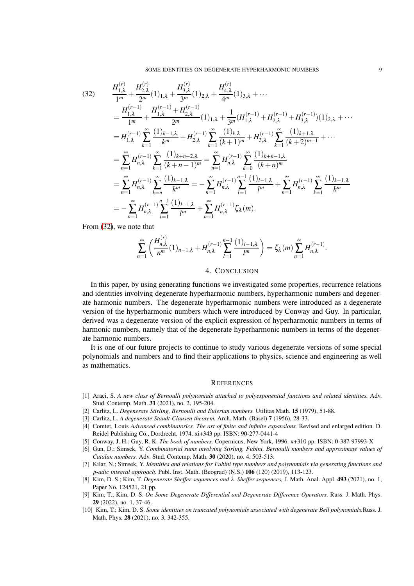<span id="page-8-0"></span>
$$
(32) \frac{H_{1,\lambda}^{(r)} + H_{2,\lambda}^{(r)}}{1^m} + \frac{H_{2,\lambda}^{(r)}}{2^m} (1)_{1,\lambda} + \frac{H_{3,\lambda}^{(r)}}{3^m} (1)_{2,\lambda} + \frac{H_{4,\lambda}^{(r)}}{4^m} (1)_{3,\lambda} + \cdots
$$
  
\n
$$
= \frac{H_{1,\lambda}^{(r-1)} + H_{1,\lambda}^{(r-1)} + H_{2,\lambda}^{(r-1)}}{1^m} (1)_{1,\lambda} + \frac{1}{3^m} (H_{1,\lambda}^{(r-1)} + H_{2,\lambda}^{(r-1)} + H_{3,\lambda}^{(r-1)}) (1)_{2,\lambda} + \cdots
$$
  
\n
$$
= H_{1,\lambda}^{(r-1)} \sum_{k=1}^{\infty} \frac{(1)_{k-1,\lambda}}{k^m} + H_{2,\lambda}^{(r-1)} \sum_{k=1}^{\infty} \frac{(1)_{k,\lambda}}{(k+1)^m} + H_{3,\lambda}^{(r-1)} \sum_{k=1}^{\infty} \frac{(1)_{k+1,\lambda}}{(k+2)^{m+1}} + \cdots
$$
  
\n
$$
= \sum_{n=1}^{\infty} H_{n,\lambda}^{(r-1)} \sum_{k=1}^{\infty} \frac{(1)_{k+n-2,\lambda}}{(k+n-1)^m} = \sum_{n=1}^{\infty} H_{n,\lambda}^{(r-1)} \sum_{k=0}^{\infty} \frac{(1)_{k+n-1,\lambda}}{(k+n)^m}
$$
  
\n
$$
= \sum_{n=1}^{\infty} H_{n,\lambda}^{(r-1)} \sum_{k=n}^{\infty} \frac{(1)_{k-1,\lambda}}{k^m} = -\sum_{n=1}^{\infty} H_{n,\lambda}^{(r-1)} \sum_{l=1}^{n-1} \frac{(1)_{l-1,\lambda}}{l^m} + \sum_{n=1}^{\infty} H_{n,\lambda}^{(r-1)} \sum_{k=1}^{\infty} \frac{(1)_{k-1,\lambda}}{k^m}
$$
  
\n
$$
= -\sum_{n=1}^{\infty} H_{n,\lambda}^{(r-1)} \sum_{l=1}^{n-1} \frac{(1)_{l-1,\lambda}}{l^m} + \
$$

From [\(32\)](#page-8-0), we note that

$$
\sum_{n=1}^{\infty} \left( \frac{H_{n,\lambda}^{(r)}}{n^m} (1)_{n-1,\lambda} + H_{n,\lambda}^{(r-1)} \sum_{l=1}^{n-1} \frac{(1)_{l-1,\lambda}}{l^m} \right) = \zeta_{\lambda}(m) \sum_{n=1}^{\infty} H_{n,\lambda}^{(r-1)}.
$$

## 4. CONCLUSION

In this paper, by using generating functions we investigated some properties, recurrence relations and identities involving degenerate hyperharmonic numbers, hyperharmonic numbers and degenerate harmonic numbers. The degenerate hyperharmonic numbers were introduced as a degenerate version of the hyperharmonic numbers which were introduced by Conway and Guy. In particular, derived was a degenerate version of the explicit expression of hyperharmonic numbers in terms of harmonic numbers, namely that of the degenerate hyperharmonic numbers in terms of the degenerate harmonic numbers.

It is one of our future projects to continue to study various degenerate versions of some special polynomials and numbers and to find their applications to physics, science and engineering as well as mathematics.

### **REFERENCES**

- [1] Araci, S. *A new class of Bernoulli polynomials attached to polyexponential functions and related identities.* Adv. Stud. Contemp. Math. 31 (2021), no. 2, 195-204.
- [2] Carlitz, L. *Degenerate Stirling, Bernoulli and Eulerian numbers.* Utilitas Math. 15 (1979), 51-88.
- [3] Carlitz, L. *A degenerate Staudt-Clausen theorem.* Arch. Math. (Basel) 7 (1956), 28-33.
- [4] Comtet, Louis *Advanced combinatorics. The art of finite and infinite expansions.* Revised and enlarged edition. D. Reidel Publishing Co., Dordrecht, 1974. xi+343 pp. ISBN: 90-277-0441-4
- [5] Conway, J. H.; Guy, R. K. *The book of numbers.* Copernicus, New York, 1996. x+310 pp. ISBN: 0-387-97993-X
- [6] Gun, D.; Simsek, Y. *Combinatorial sums involving Stirling, Fubini, Bernoulli numbers and approximate values of Catalan numbers.* Adv. Stud. Contemp. Math. 30 (2020), no. 4, 503-513.
- [7] Kilar, N.; Simsek, Y. *Identities and relations for Fubini type numbers and polynomials via generating functions and p-adic integral approach.* Publ. Inst. Math. (Beograd) (N.S.) 106 (120) (2019), 113-123.
- [8] Kim, D. S.; Kim, T. *Degenerate Sheffer sequences and* <sup>λ</sup>*-Sheffer sequences,* J. Math. Anal. Appl. 493 (2021), no. 1, Paper No. 124521, 21 pp.
- [9] Kim, T.; Kim, D. S. *On Some Degenerate Differential and Degenerate Difference Operators.* Russ. J. Math. Phys. 29 (2022), no. 1, 37-46.
- [10] Kim, T.; Kim, D. S. *Some identities on truncated polynomials associated with degenerate Bell polynomials.*Russ. J. Math. Phys. 28 (2021), no. 3, 342-355.